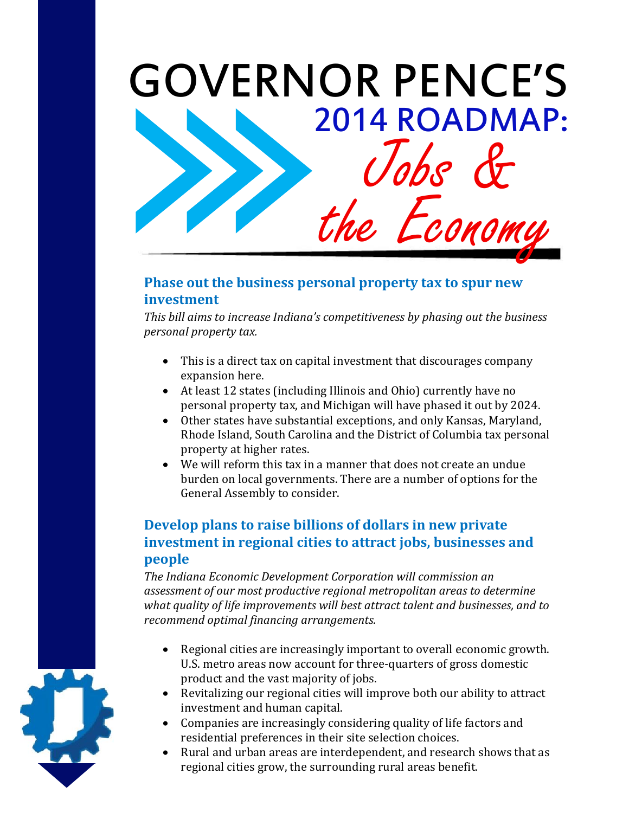

### **Phase out the business personal property tax to spur new investment**

*This bill aims to increase Indiana's competitiveness by phasing out the business personal property tax.* 

- This is a direct tax on capital investment that discourages company expansion here.
- At least 12 states (including Illinois and Ohio) currently have no personal property tax, and Michigan will have phased it out by 2024.
- Other states have substantial exceptions, and only Kansas, Maryland, Rhode Island, South Carolina and the District of Columbia tax personal property at higher rates.
- We will reform this tax in a manner that does not create an undue burden on local governments. There are a number of options for the General Assembly to consider.

## **Develop plans to raise billions of dollars in new private investment in regional cities to attract jobs, businesses and people**

*The Indiana Economic Development Corporation will commission an assessment of our most productive regional metropolitan areas to determine what quality of life improvements will best attract talent and businesses, and to recommend optimal financing arrangements.*

- Regional cities are increasingly important to overall economic growth. U.S. metro areas now account for three-quarters of gross domestic product and the vast majority of jobs.
- Revitalizing our regional cities will improve both our ability to attract investment and human capital.
- Companies are increasingly considering quality of life factors and residential preferences in their site selection choices.
- Rural and urban areas are interdependent, and research shows that as regional cities grow, the surrounding rural areas benefit.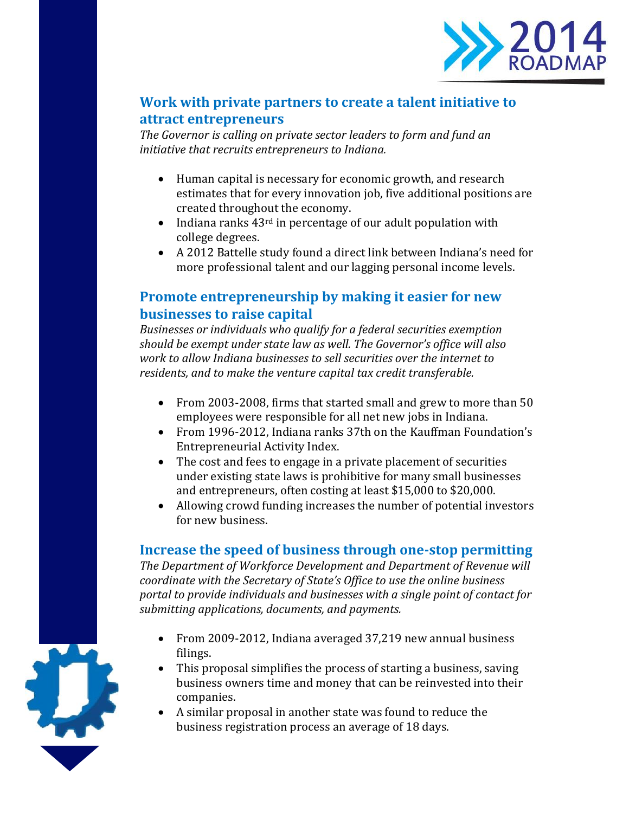

### **Work with private partners to create a talent initiative to attract entrepreneurs**

*The Governor is calling on private sector leaders to form and fund an initiative that recruits entrepreneurs to Indiana.* 

- Human capital is necessary for economic growth, and research estimates that for every innovation job, five additional positions are created throughout the economy.
- $\bullet$  Indiana ranks 43<sup>rd</sup> in percentage of our adult population with college degrees.
- A 2012 Battelle study found a direct link between Indiana's need for more professional talent and our lagging personal income levels.

### **Promote entrepreneurship by making it easier for new businesses to raise capital**

*Businesses or individuals who qualify for a federal securities exemption should be exempt under state law as well. The Governor's office will also work to allow Indiana businesses to sell securities over the internet to residents, and to make the venture capital tax credit transferable.*

- From 2003-2008, firms that started small and grew to more than 50 employees were responsible for all net new jobs in Indiana.
- From 1996-2012, Indiana ranks 37th on the Kauffman Foundation's Entrepreneurial Activity Index.
- The cost and fees to engage in a private placement of securities under existing state laws is prohibitive for many small businesses and entrepreneurs, often costing at least \$15,000 to \$20,000.
- Allowing crowd funding increases the number of potential investors for new business.

#### **Increase the speed of business through one-stop permitting**

*The Department of Workforce Development and Department of Revenue will coordinate with the Secretary of State's Office to use the online business portal to provide individuals and businesses with a single point of contact for submitting applications, documents, and payments.*

- From 2009-2012, Indiana averaged 37,219 new annual business filings.
- This proposal simplifies the process of starting a business, saving business owners time and money that can be reinvested into their companies.
- A similar proposal in another state was found to reduce the business registration process an average of 18 days.

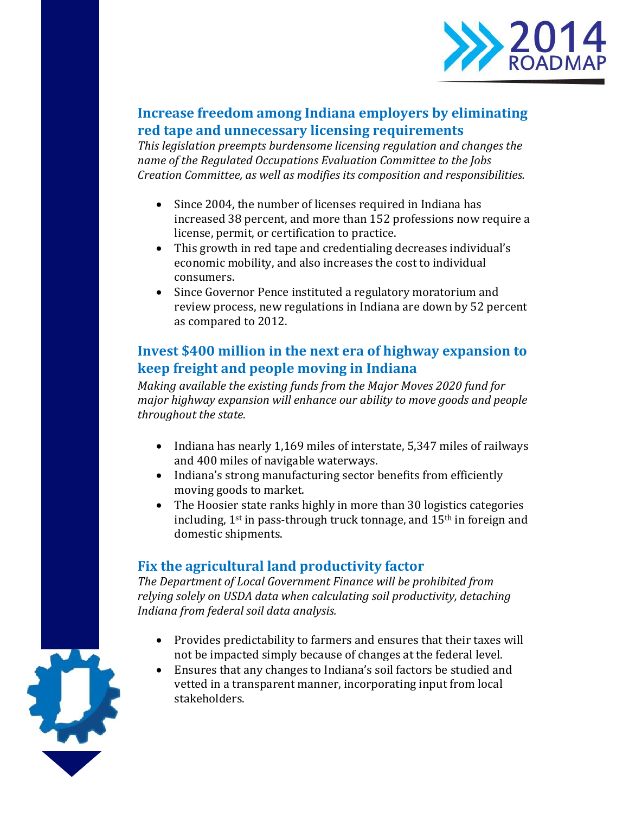

## **Increase freedom among Indiana employers by eliminating red tape and unnecessary licensing requirements**

*This legislation preempts burdensome licensing regulation and changes the name of the Regulated Occupations Evaluation Committee to the Jobs Creation Committee, as well as modifies its composition and responsibilities.* 

- Since 2004, the number of licenses required in Indiana has increased 38 percent, and more than 152 professions now require a license, permit, or certification to practice.
- This growth in red tape and credentialing decreases individual's economic mobility, and also increases the cost to individual consumers.
- Since Governor Pence instituted a regulatory moratorium and review process, new regulations in Indiana are down by 52 percent as compared to 2012.

## **Invest \$400 million in the next era of highway expansion to keep freight and people moving in Indiana**

*Making available the existing funds from the Major Moves 2020 fund for major highway expansion will enhance our ability to move goods and people throughout the state.*

- Indiana has nearly 1,169 miles of interstate, 5,347 miles of railways and 400 miles of navigable waterways.
- Indiana's strong manufacturing sector benefits from efficiently moving goods to market.
- The Hoosier state ranks highly in more than 30 logistics categories including,  $1^{st}$  in pass-through truck tonnage, and  $15^{th}$  in foreign and domestic shipments.

# **Fix the agricultural land productivity factor**

*The Department of Local Government Finance will be prohibited from relying solely on USDA data when calculating soil productivity, detaching Indiana from federal soil data analysis.*

- Provides predictability to farmers and ensures that their taxes will not be impacted simply because of changes at the federal level.
- Ensures that any changes to Indiana's soil factors be studied and vetted in a transparent manner, incorporating input from local stakeholders.